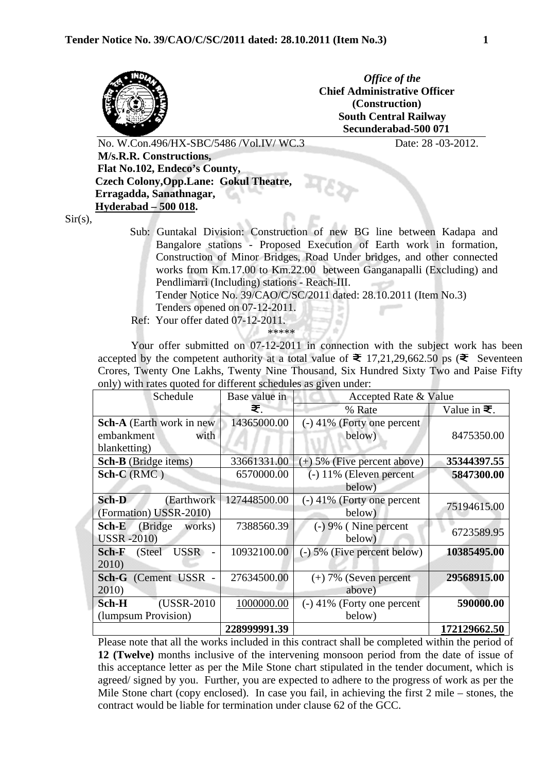

*Office of the*  **Chief Administrative Officer (Construction) South Central Railway Secunderabad-500 071**

No. W.Con.496/HX-SBC/5486 /Vol.IV/ WC.3 Date: 28 -03-2012.

 **M/s.R.R. Constructions, Flat No.102, Endeco's County, Czech Colony,Opp.Lane: Gokul Theatre, Erragadda, Sanathnagar, Hyderabad – 500 018.** 

 $\overline{a}$  $Sir(s),$ 

> Sub: Guntakal Division: Construction of new BG line between Kadapa and Bangalore stations - Proposed Execution of Earth work in formation, Construction of Minor Bridges, Road Under bridges, and other connected works from Km.17.00 to Km.22.00 between Ganganapalli (Excluding) and Pendlimarri (Including) stations - Reach-III.

Tender Notice No. 39/CAO/C/SC/2011 dated: 28.10.2011 (Item No.3)

- Tenders opened on 07-12-2011.
- Ref: Your offer dated 07-12-2011.

\*\*\*\*\*

Your offer submitted on 07-12-2011 in connection with the subject work has been accepted by the competent authority at a total value of  $\bar{\mathbf{z}}$  17,21,29,662.50 ps ( $\bar{\mathbf{z}}$  Seventeen Crores, Twenty One Lakhs, Twenty Nine Thousand, Six Hundred Sixty Two and Paise Fifty only) with rates quoted for different schedules as given under:

| Schedule                        | Base value in | Accepted Rate & Value         |                     |
|---------------------------------|---------------|-------------------------------|---------------------|
|                                 | ₹.            | % Rate                        | Value in $\equiv$ . |
| Sch-A (Earth work in new        | 14365000.00   | $(-)$ 41% (Forty one percent  |                     |
| embankment<br>with              |               | below)                        | 8475350.00          |
| blanketting)                    |               |                               |                     |
| <b>Sch-B</b> (Bridge items)     | 33661331.00   | $(+)$ 5% (Five percent above) | 35344397.55         |
| $Sch-C(RMC)$                    | 6570000.00    | $(-)$ 11% (Eleven percent     | 5847300.00          |
|                                 |               | below)                        |                     |
| Sch-D<br>(Earthwork)            | 127448500.00  | $(-)$ 41% (Forty one percent  | 75194615.00         |
| (Formation) USSR-2010)          |               | below)                        |                     |
| (Bridge<br>Sch-E<br>works)      | 7388560.39    | $(-) 9%$ (Nine percent        | 6723589.95          |
| <b>USSR</b> -2010)              |               | below)                        |                     |
| <b>USSR</b><br>Sch-F<br>(Steel) | 10932100.00   | $(-)$ 5% (Five percent below) | 10385495.00         |
| 2010)                           |               |                               |                     |
| <b>Sch-G</b> (Cement USSR -     | 27634500.00   | $(+)$ 7% (Seven percent       | 29568915.00         |
| 2010)                           |               | above)                        |                     |
| Sch-H<br>(USSR-2010)            | 1000000.00    | $(-)$ 41% (Forty one percent  | 590000.00           |
| (lumpsum Provision)             |               | below)                        |                     |
|                                 | 228999991.39  |                               | 172129662.50        |

Please note that all the works included in this contract shall be completed within the period of **12 (Twelve)** months inclusive of the intervening monsoon period from the date of issue of this acceptance letter as per the Mile Stone chart stipulated in the tender document, which is agreed/ signed by you. Further, you are expected to adhere to the progress of work as per the Mile Stone chart (copy enclosed). In case you fail, in achieving the first 2 mile – stones, the contract would be liable for termination under clause 62 of the GCC.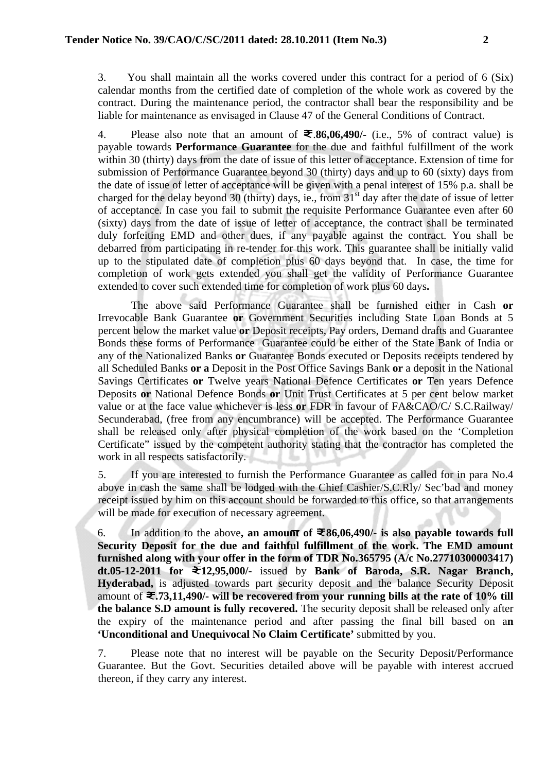3. You shall maintain all the works covered under this contract for a period of 6 (Six) calendar months from the certified date of completion of the whole work as covered by the contract. During the maintenance period, the contractor shall bear the responsibility and be liable for maintenance as envisaged in Clause 47 of the General Conditions of Contract.

4. Please also note that an amount of  $\bar{\mathbf{z}}$ .86,06,490/- (i.e., 5% of contract value) is payable towards **Performance Guarantee** for the due and faithful fulfillment of the work within 30 (thirty) days from the date of issue of this letter of acceptance. Extension of time for submission of Performance Guarantee beyond 30 (thirty) days and up to 60 (sixty) days from the date of issue of letter of acceptance will be given with a penal interest of 15% p.a. shall be charged for the delay beyond 30 (thirty) days, ie., from  $31<sup>st</sup>$  day after the date of issue of letter of acceptance. In case you fail to submit the requisite Performance Guarantee even after 60 (sixty) days from the date of issue of letter of acceptance, the contract shall be terminated duly forfeiting EMD and other dues, if any payable against the contract. You shall be debarred from participating in re-tender for this work. This guarantee shall be initially valid up to the stipulated date of completion plus 60 days beyond that. In case, the time for completion of work gets extended you shall get the validity of Performance Guarantee extended to cover such extended time for completion of work plus 60 days**.**

The above said Performance Guarantee shall be furnished either in Cash **or** Irrevocable Bank Guarantee **or** Government Securities including State Loan Bonds at 5 percent below the market value **or** Deposit receipts, Pay orders, Demand drafts and Guarantee Bonds these forms of Performance Guarantee could be either of the State Bank of India or any of the Nationalized Banks **or** Guarantee Bonds executed or Deposits receipts tendered by all Scheduled Banks **or a** Deposit in the Post Office Savings Bank **or** a deposit in the National Savings Certificates **or** Twelve years National Defence Certificates **or** Ten years Defence Deposits **or** National Defence Bonds **or** Unit Trust Certificates at 5 per cent below market value or at the face value whichever is less **or** FDR in favour of FA&CAO/C/ S.C.Railway/ Secunderabad, (free from any encumbrance) will be accepted. The Performance Guarantee shall be released only after physical completion of the work based on the 'Completion Certificate" issued by the competent authority stating that the contractor has completed the work in all respects satisfactorily.

5. If you are interested to furnish the Performance Guarantee as called for in para No.4 above in cash the same shall be lodged with the Chief Cashier/S.C.Rly/ Sec'bad and money receipt issued by him on this account should be forwarded to this office, so that arrangements will be made for execution of necessary agreement.

6. In addition to the above, an amount of  $\mathcal{F}86,06,490/$ - is also payable towards full **Security Deposit for the due and faithful fulfillment of the work. The EMD amount furnished along with your offer in the form of TDR No.365795 (A/c No.27710300003417) dt.05-12-2011 for 12,95,000/-** issued by **Bank of Baroda, S.R. Nagar Branch, Hyderabad,** is adjusted towards part security deposit and the balance Security Deposit amount of  $\mathfrak{F}$ ,73,11,490/- will be recovered from your running bills at the rate of 10% till **the balance S.D amount is fully recovered.** The security deposit shall be released only after the expiry of the maintenance period and after passing the final bill based on a**n 'Unconditional and Unequivocal No Claim Certificate'** submitted by you.

7. Please note that no interest will be payable on the Security Deposit/Performance Guarantee. But the Govt. Securities detailed above will be payable with interest accrued thereon, if they carry any interest.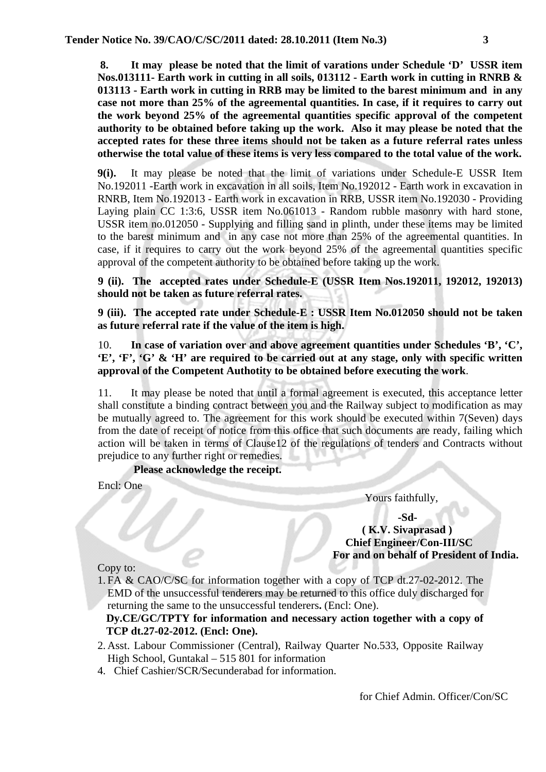**8. It may please be noted that the limit of varations under Schedule 'D' USSR item Nos.013111- Earth work in cutting in all soils, 013112 - Earth work in cutting in RNRB & 013113 - Earth work in cutting in RRB may be limited to the barest minimum and in any case not more than 25% of the agreemental quantities. In case, if it requires to carry out the work beyond 25% of the agreemental quantities specific approval of the competent authority to be obtained before taking up the work. Also it may please be noted that the accepted rates for these three items should not be taken as a future referral rates unless otherwise the total value of these items is very less compared to the total value of the work.** 

**9(i).** It may please be noted that the limit of variations under Schedule-E USSR Item No.192011 -Earth work in excavation in all soils, Item No.192012 - Earth work in excavation in RNRB, Item No.192013 - Earth work in excavation in RRB, USSR item No.192030 - Providing Laying plain CC 1:3:6, USSR item No.061013 - Random rubble masonry with hard stone, USSR item no.012050 - Supplying and filling sand in plinth, under these items may be limited to the barest minimum and in any case not more than 25% of the agreemental quantities. In case, if it requires to carry out the work beyond 25% of the agreemental quantities specific approval of the competent authority to be obtained before taking up the work.

**9 (ii). The accepted rates under Schedule-E (USSR Item Nos.192011, 192012, 192013) should not be taken as future referral rates.** 

**9 (iii). The accepted rate under Schedule-E : USSR Item No.012050 should not be taken as future referral rate if the value of the item is high.** 

10. **In case of variation over and above agreement quantities under Schedules 'B', 'C', 'E', 'F', 'G' & 'H' are required to be carried out at any stage, only with specific written approval of the Competent Authotity to be obtained before executing the work**.

11. It may please be noted that until a formal agreement is executed, this acceptance letter shall constitute a binding contract between you and the Railway subject to modification as may be mutually agreed to. The agreement for this work should be executed within 7(Seven) days from the date of receipt of notice from this office that such documents are ready, failing which action will be taken in terms of Clause12 of the regulations of tenders and Contracts without prejudice to any further right or remedies.

**Please acknowledge the receipt.**

Encl: One

Yours faithfully,

 **-Sd-** 

 **( K.V. Sivaprasad ) Chief Engineer/Con-III/SC For and on behalf of President of India.** 

Copy to:

1. FA & CAO/C/SC for information together with a copy of TCP dt.27-02-2012. The EMD of the unsuccessful tenderers may be returned to this office duly discharged for returning the same to the unsuccessful tenderers**.** (Encl: One).

**Dy.CE/GC/TPTY for information and necessary action together with a copy of TCP dt.27-02-2012. (Encl: One).** 

- 2. Asst. Labour Commissioner (Central), Railway Quarter No.533, Opposite Railway High School, Guntakal – 515 801 for information
- 4. Chief Cashier/SCR/Secunderabad for information.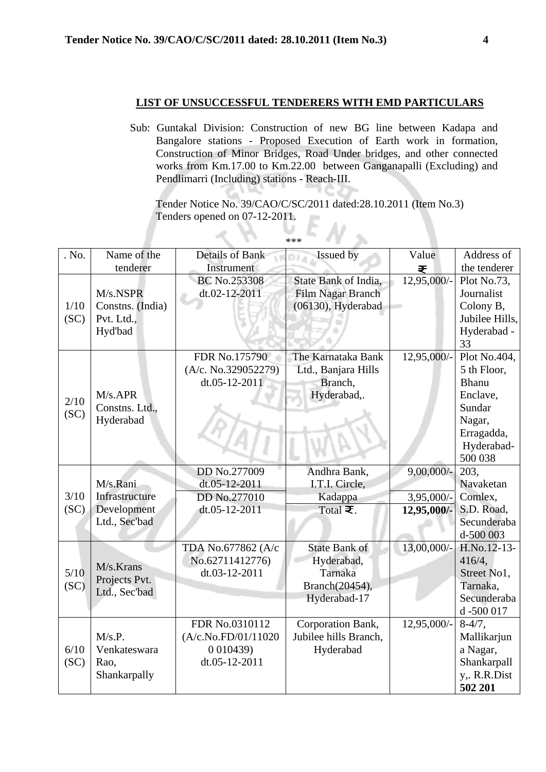## **LIST OF UNSUCCESSFUL TENDERERS WITH EMD PARTICULARS**

Sub: Guntakal Division: Construction of new BG line between Kadapa and Bangalore stations - Proposed Execution of Earth work in formation, Construction of Minor Bridges, Road Under bridges, and other connected works from Km.17.00 to Km.22.00 between Ganganapalli (Excluding) and Pendlimarri (Including) stations - Reach-III.

 Tender Notice No. 39/CAO/C/SC/2011 dated:28.10.2011 (Item No.3) Tenders opened on 07-12-2011.  $\sum_{***}$ 

| . No.        | Name of the                                           | <b>Details of Bank</b>                                | Issued by                                                           | Value         | Address of                                                                                                         |
|--------------|-------------------------------------------------------|-------------------------------------------------------|---------------------------------------------------------------------|---------------|--------------------------------------------------------------------------------------------------------------------|
|              | tenderer                                              | Instrument                                            |                                                                     | ₹             | the tenderer                                                                                                       |
| 1/10<br>(SC) | M/s.NSPR<br>Constns. (India)<br>Pvt. Ltd.,<br>Hyd'bad | <b>BC No.253308</b><br>dt.02-12-2011                  | State Bank of India,<br>Film Nagar Branch<br>(06130), Hyderabad     | 12,95,000/-   | Plot No.73,<br>Journalist<br>Colony B,<br>Jubilee Hills,<br>Hyderabad -<br>33                                      |
| 2/10<br>(SC) | $M/s.$ APR<br>Constns. Ltd.,<br>Hyderabad             | FDR No.175790<br>(A/c. No.329052279)<br>dt.05-12-2011 | The Karnataka Bank<br>Ltd., Banjara Hills<br>Branch,<br>Hyderabad,. | 12,95,000/-   | Plot No.404,<br>5 th Floor,<br><b>Bhanu</b><br>Enclave,<br>Sundar<br>Nagar,<br>Erragadda,<br>Hyderabad-<br>500 038 |
|              |                                                       | DD No.277009                                          | Andhra Bank,                                                        | $9,00,000/$ - | 203,                                                                                                               |
|              | M/s.Rani                                              | dt.05-12-2011                                         | I.T.I. Circle,                                                      |               | Navaketan                                                                                                          |
| 3/10         | Infrastructure                                        | DD No.277010                                          | Kadappa                                                             | 3,95,000/-    | Comlex,                                                                                                            |
| (SC)         | Development                                           | dt.05-12-2011                                         | Total $\overline{\boldsymbol{\Xi}}$ .                               | 12,95,000/-   | S.D. Road,                                                                                                         |
|              | Ltd., Sec'bad                                         |                                                       |                                                                     |               | Secunderaba                                                                                                        |
|              |                                                       |                                                       |                                                                     |               | d-500 003                                                                                                          |
|              |                                                       | TDA No.677862 (A/c                                    | <b>State Bank of</b>                                                | 13,00,000/-   | H.No.12-13-                                                                                                        |
|              | M/s.Krans                                             | No.62711412776)                                       | Hyderabad,                                                          |               | 416/4,                                                                                                             |
| 5/10         | Projects Pvt.                                         | dt.03-12-2011                                         | Tarnaka                                                             |               | Street No1,                                                                                                        |
| (SC)         | Ltd., Sec'bad                                         |                                                       | Branch(20454),                                                      |               | Tarnaka.                                                                                                           |
|              |                                                       |                                                       | Hyderabad-17                                                        |               | Secunderaba                                                                                                        |
|              |                                                       |                                                       |                                                                     |               | d -500 017                                                                                                         |
|              | M/s.P.                                                | FDR No.0310112<br>(A/c.No.FD/01/11020                 | Corporation Bank,<br>Jubilee hills Branch,                          | 12,95,000/-   | $8-4/7$ ,<br>Mallikarjun                                                                                           |
| 6/10         | Venkateswara                                          | 0 0 1 0 4 3 9 )                                       | Hyderabad                                                           |               | a Nagar,                                                                                                           |
| (SC)         | Rao,                                                  | dt.05-12-2011                                         |                                                                     |               | Shankarpall                                                                                                        |
|              | Shankarpally                                          |                                                       |                                                                     |               | y,. R.R.Dist                                                                                                       |
|              |                                                       |                                                       |                                                                     |               | 502 201                                                                                                            |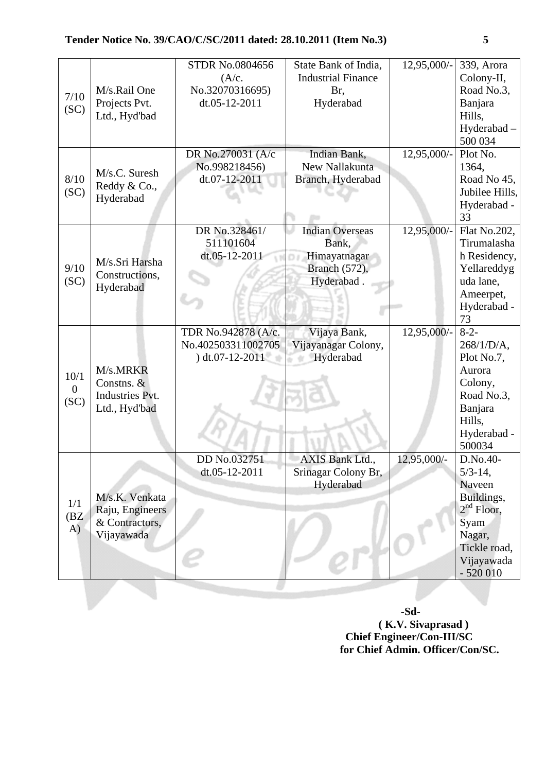| 7/10<br>(SC)                   | M/s.Rail One<br>Projects Pvt.<br>Ltd., Hyd'bad                    | <b>STDR No.0804656</b><br>(A/c.<br>No.32070316695)<br>dt.05-12-2011 | State Bank of India,<br><b>Industrial Finance</b><br>Br,<br>Hyderabad          | 12,95,000/- | 339, Arora<br>Colony-II,<br>Road No.3,<br>Banjara<br>Hills,<br>Hyderabad-<br>500 034                                          |
|--------------------------------|-------------------------------------------------------------------|---------------------------------------------------------------------|--------------------------------------------------------------------------------|-------------|-------------------------------------------------------------------------------------------------------------------------------|
| 8/10<br>(SC)                   | M/s.C. Suresh<br>Reddy & Co.,<br>Hyderabad                        | DR No.270031 (A/c<br>No.998218456)<br>dt.07-12-2011                 | Indian Bank,<br>New Nallakunta<br>Branch, Hyderabad                            | 12,95,000/- | Plot No.<br>1364,<br>Road No 45,<br>Jubilee Hills,<br>Hyderabad -<br>33                                                       |
| 9/10<br>(SC)                   | M/s.Sri Harsha<br>Constructions,<br>Hyderabad                     | DR No.328461/<br>511101604<br>dt.05-12-2011                         | <b>Indian Overseas</b><br>Bank,<br>Himayatnagar<br>Branch (572),<br>Hyderabad. | 12,95,000/- | Flat No.202,<br>Tirumalasha<br>h Residency,<br>Yellareddyg<br>uda lane.<br>Ameerpet,<br>Hyderabad -<br>73                     |
| 10/1<br>$\overline{0}$<br>(SC) | M/s.MRKR<br>Constns. &<br><b>Industries Pvt.</b><br>Ltd., Hyd'bad | TDR No.942878 (A/c.<br>No.402503311002705<br>$) dt.07-12-2011$      | Vijaya Bank,<br>Vijayanagar Colony,<br>Hyderabad                               | 12,95,000/- | $8-2-$<br>$268/1/D/A$ ,<br>Plot No.7,<br>Aurora<br>Colony,<br>Road No.3,<br>Banjara<br>Hills,<br>Hyderabad -<br>500034        |
| 1/1<br>(BZ<br>A)               | M/s.K. Venkata<br>Raju, Engineers<br>& Contractors,<br>Vijayawada | DD No.032751<br>dt.05-12-2011                                       | AXIS Bank Ltd.,<br>Srinagar Colony Br,<br>Hyderabad                            | 12,95,000/- | D.No.40-<br>$5/3 - 14$ ,<br>Naveen<br>Buildings,<br>$2nd$ Floor,<br>Syam<br>Nagar,<br>Tickle road,<br>Vijayawada<br>$-520010$ |

 **-Sd- ( K.V. Sivaprasad ) Chief Engineer/Con-III/SC for Chief Admin. Officer/Con/SC.**